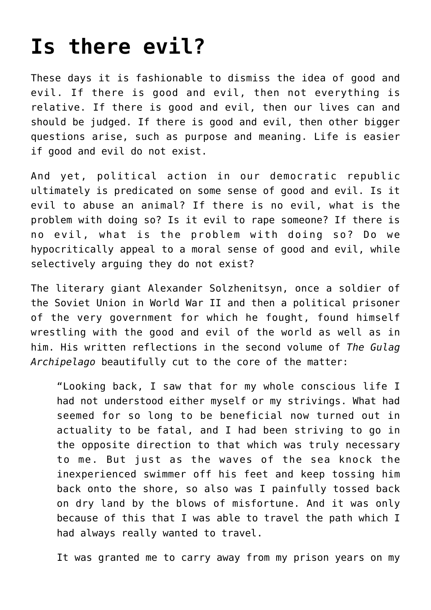## **[Is there evil?](https://intellectualtakeout.org/2015/08/is-there-evil/)**

These days it is fashionable to dismiss the idea of good and evil. If there is good and evil, then not everything is relative. If there is good and evil, then our lives can and should be judged. If there is good and evil, then other bigger questions arise, such as purpose and meaning. Life is easier if good and evil do not exist.

And yet, political action in our democratic republic ultimately is predicated on some sense of good and evil. Is it evil to abuse an animal? If there is no evil, what is the problem with doing so? Is it evil to rape someone? If there is no evil, what is the problem with doing so? Do we hypocritically appeal to a moral sense of good and evil, while selectively arguing they do not exist?

The literary giant Alexander Solzhenitsyn, once a soldier of the Soviet Union in World War II and then a political prisoner of the very government for which he fought, found himself wrestling with the good and evil of the world as well as in him. His written reflections in the second volume of *The Gulag Archipelago* beautifully cut to the core of the matter:

"Looking back, I saw that for my whole conscious life I had not understood either myself or my strivings. What had seemed for so long to be beneficial now turned out in actuality to be fatal, and I had been striving to go in the opposite direction to that which was truly necessary to me. But just as the waves of the sea knock the inexperienced swimmer off his feet and keep tossing him back onto the shore, so also was I painfully tossed back on dry land by the blows of misfortune. And it was only because of this that I was able to travel the path which I had always really wanted to travel.

It was granted me to carry away from my prison years on my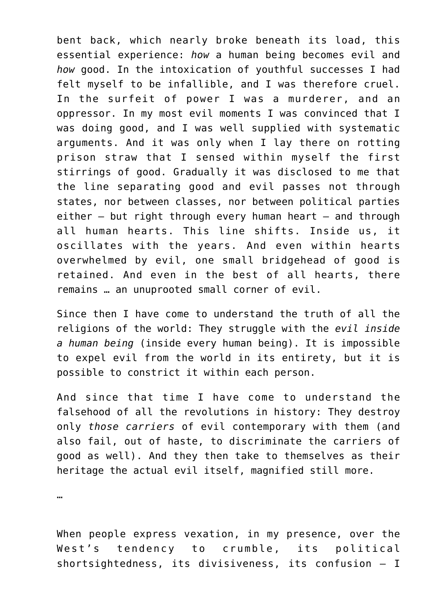bent back, which nearly broke beneath its load, this essential experience: *how* a human being becomes evil and *how* good. In the intoxication of youthful successes I had felt myself to be infallible, and I was therefore cruel. In the surfeit of power I was a murderer, and an oppressor. In my most evil moments I was convinced that I was doing good, and I was well supplied with systematic arguments. And it was only when I lay there on rotting prison straw that I sensed within myself the first stirrings of good. Gradually it was disclosed to me that the line separating good and evil passes not through states, nor between classes, nor between political parties either – but right through every human heart – and through all human hearts. This line shifts. Inside us, it oscillates with the years. And even within hearts overwhelmed by evil, one small bridgehead of good is retained. And even in the best of all hearts, there remains … an unuprooted small corner of evil.

Since then I have come to understand the truth of all the religions of the world: They struggle with the *evil inside a human being* (inside every human being). It is impossible to expel evil from the world in its entirety, but it is possible to constrict it within each person.

And since that time I have come to understand the falsehood of all the revolutions in history: They destroy only *those carriers* of evil contemporary with them (and also fail, out of haste, to discriminate the carriers of good as well). And they then take to themselves as their heritage the actual evil itself, magnified still more.

…

When people express vexation, in my presence, over the West's tendency to crumble, its political shortsightedness, its divisiveness, its confusion – I